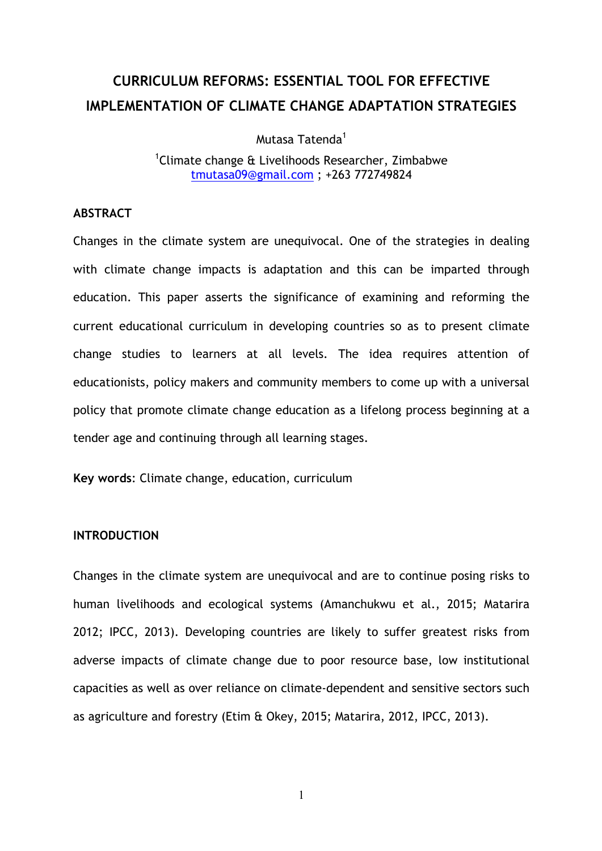# **CURRICULUM REFORMS: ESSENTIAL TOOL FOR EFFECTIVE IMPLEMENTATION OF CLIMATE CHANGE ADAPTATION STRATEGIES**

Mutasa Tatenda<sup>1</sup>

<sup>1</sup>Climate change & Livelihoods Researcher, Zimbabwe tmutasa09@gmail.com ; +263 772749824

#### **ABSTRACT**

Changes in the climate system are unequivocal. One of the strategies in dealing with climate change impacts is adaptation and this can be imparted through education. This paper asserts the significance of examining and reforming the current educational curriculum in developing countries so as to present climate change studies to learners at all levels. The idea requires attention of educationists, policy makers and community members to come up with a universal policy that promote climate change education as a lifelong process beginning at a tender age and continuing through all learning stages.

**Key words**: Climate change, education, curriculum

#### **INTRODUCTION**

Changes in the climate system are unequivocal and are to continue posing risks to human livelihoods and ecological systems (Amanchukwu et al., 2015; Matarira 2012; IPCC, 2013). Developing countries are likely to suffer greatest risks from adverse impacts of climate change due to poor resource base, low institutional capacities as well as over reliance on climate-dependent and sensitive sectors such as agriculture and forestry (Etim & Okey, 2015; Matarira, 2012, IPCC, 2013).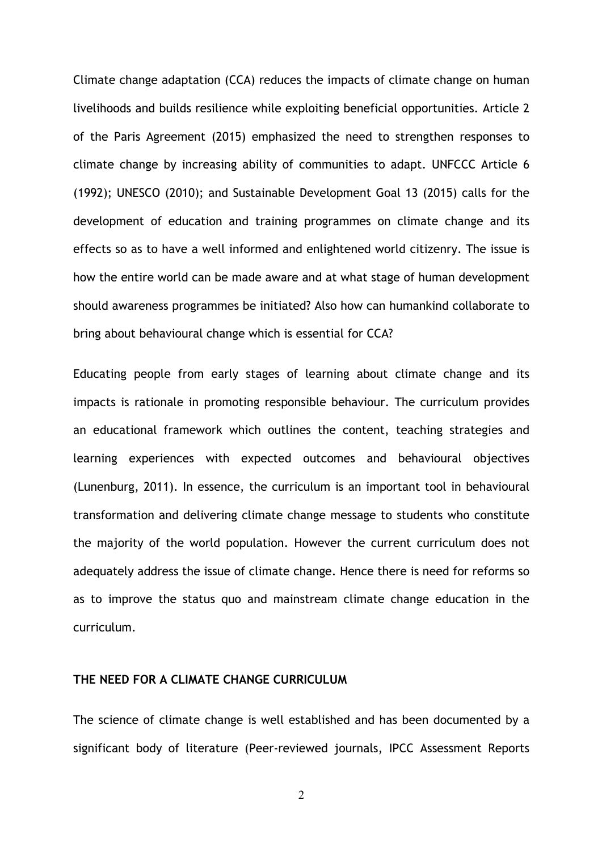Climate change adaptation (CCA) reduces the impacts of climate change on human livelihoods and builds resilience while exploiting beneficial opportunities. Article 2 of the Paris Agreement (2015) emphasized the need to strengthen responses to climate change by increasing ability of communities to adapt. UNFCCC Article 6 (1992); UNESCO (2010); and Sustainable Development Goal 13 (2015) calls for the development of education and training programmes on climate change and its effects so as to have a well informed and enlightened world citizenry. The issue is how the entire world can be made aware and at what stage of human development should awareness programmes be initiated? Also how can humankind collaborate to bring about behavioural change which is essential for CCA?

Educating people from early stages of learning about climate change and its impacts is rationale in promoting responsible behaviour. The curriculum provides an educational framework which outlines the content, teaching strategies and learning experiences with expected outcomes and behavioural objectives (Lunenburg, 2011). In essence, the curriculum is an important tool in behavioural transformation and delivering climate change message to students who constitute the majority of the world population. However the current curriculum does not adequately address the issue of climate change. Hence there is need for reforms so as to improve the status quo and mainstream climate change education in the curriculum.

## **THE NEED FOR A CLIMATE CHANGE CURRICULUM**

The science of climate change is well established and has been documented by a significant body of literature (Peer-reviewed journals, IPCC Assessment Reports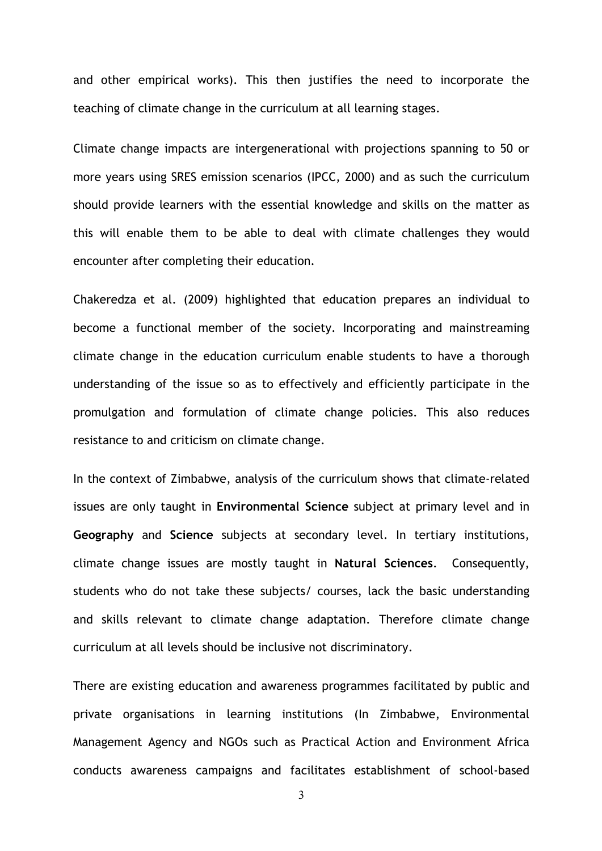and other empirical works). This then justifies the need to incorporate the teaching of climate change in the curriculum at all learning stages.

Climate change impacts are intergenerational with projections spanning to 50 or more years using SRES emission scenarios (IPCC, 2000) and as such the curriculum should provide learners with the essential knowledge and skills on the matter as this will enable them to be able to deal with climate challenges they would encounter after completing their education.

Chakeredza et al. (2009) highlighted that education prepares an individual to become a functional member of the society. Incorporating and mainstreaming climate change in the education curriculum enable students to have a thorough understanding of the issue so as to effectively and efficiently participate in the promulgation and formulation of climate change policies. This also reduces resistance to and criticism on climate change.

In the context of Zimbabwe, analysis of the curriculum shows that climate-related issues are only taught in **Environmental Science** subject at primary level and in **Geography** and **Science** subjects at secondary level. In tertiary institutions, climate change issues are mostly taught in **Natural Sciences**. Consequently, students who do not take these subjects/ courses, lack the basic understanding and skills relevant to climate change adaptation. Therefore climate change curriculum at all levels should be inclusive not discriminatory.

There are existing education and awareness programmes facilitated by public and private organisations in learning institutions (In Zimbabwe, Environmental Management Agency and NGOs such as Practical Action and Environment Africa conducts awareness campaigns and facilitates establishment of school-based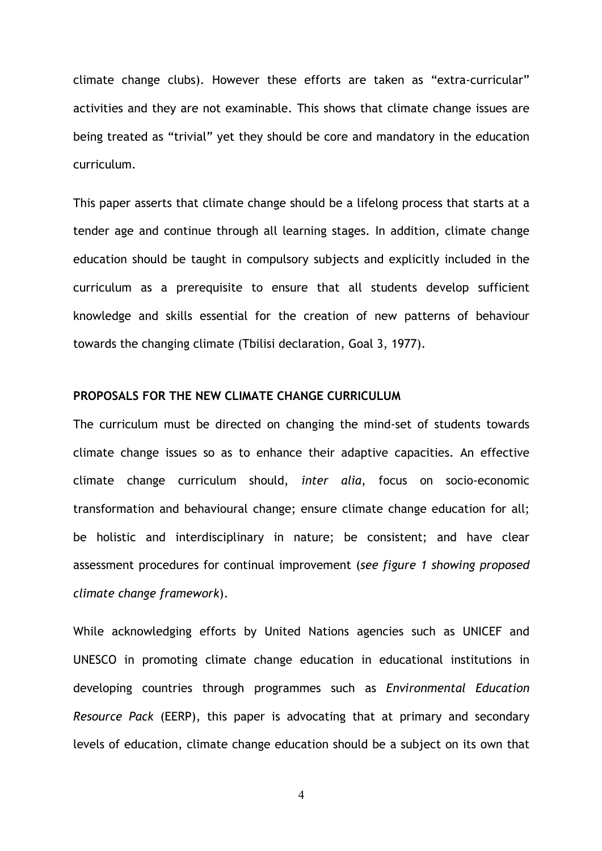climate change clubs). However these efforts are taken as "extra-curricular" activities and they are not examinable. This shows that climate change issues are being treated as "trivial" yet they should be core and mandatory in the education curriculum.

This paper asserts that climate change should be a lifelong process that starts at a tender age and continue through all learning stages. In addition, climate change education should be taught in compulsory subjects and explicitly included in the curriculum as a prerequisite to ensure that all students develop sufficient knowledge and skills essential for the creation of new patterns of behaviour towards the changing climate (Tbilisi declaration, Goal 3, 1977).

### **PROPOSALS FOR THE NEW CLIMATE CHANGE CURRICULUM**

The curriculum must be directed on changing the mind-set of students towards climate change issues so as to enhance their adaptive capacities. An effective climate change curriculum should, *inter alia*, focus on socio-economic transformation and behavioural change; ensure climate change education for all; be holistic and interdisciplinary in nature; be consistent; and have clear assessment procedures for continual improvement (*see figure 1 showing proposed climate change framework*).

While acknowledging efforts by United Nations agencies such as UNICEF and UNESCO in promoting climate change education in educational institutions in developing countries through programmes such as *Environmental Education Resource Pack* (EERP), this paper is advocating that at primary and secondary levels of education, climate change education should be a subject on its own that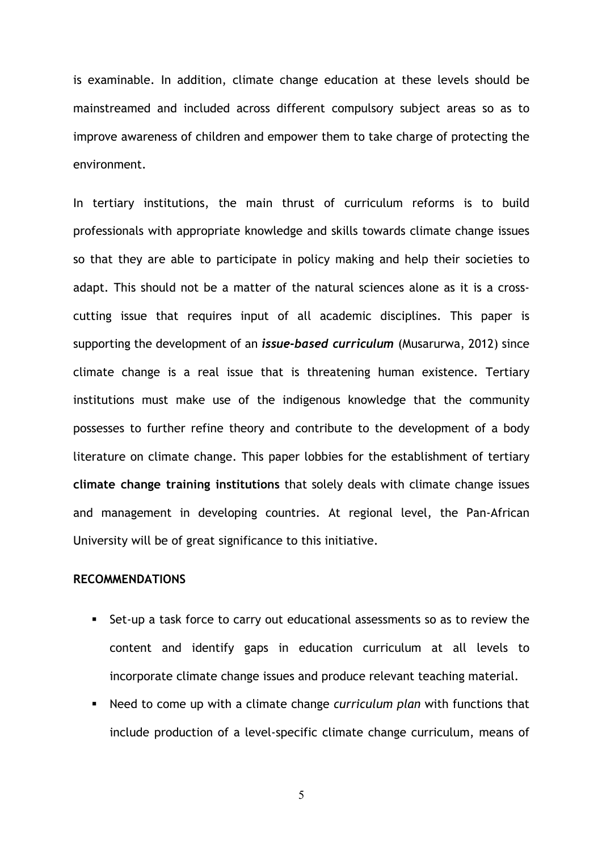is examinable. In addition, climate change education at these levels should be mainstreamed and included across different compulsory subject areas so as to improve awareness of children and empower them to take charge of protecting the environment.

In tertiary institutions, the main thrust of curriculum reforms is to build professionals with appropriate knowledge and skills towards climate change issues so that they are able to participate in policy making and help their societies to adapt. This should not be a matter of the natural sciences alone as it is a crosscutting issue that requires input of all academic disciplines. This paper is supporting the development of an *issue-based curriculum* (Musarurwa, 2012) since climate change is a real issue that is threatening human existence. Tertiary institutions must make use of the indigenous knowledge that the community possesses to further refine theory and contribute to the development of a body literature on climate change. This paper lobbies for the establishment of tertiary **climate change training institutions** that solely deals with climate change issues and management in developing countries. At regional level, the Pan-African University will be of great significance to this initiative.

#### **RECOMMENDATIONS**

- ! Set-up a task force to carry out educational assessments so as to review the content and identify gaps in education curriculum at all levels to incorporate climate change issues and produce relevant teaching material.
- ! Need to come up with a climate change *curriculum plan* with functions that include production of a level-specific climate change curriculum, means of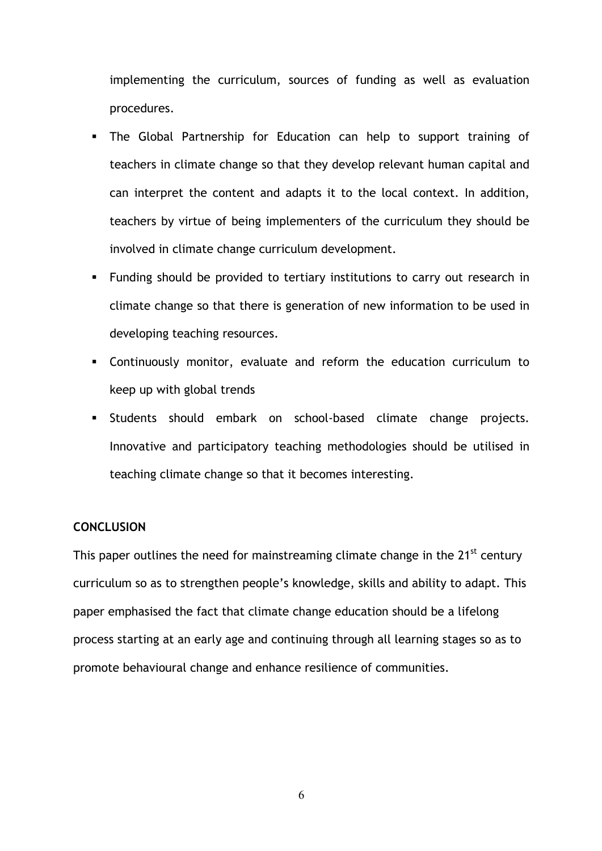implementing the curriculum, sources of funding as well as evaluation procedures.

- ! The Global Partnership for Education can help to support training of teachers in climate change so that they develop relevant human capital and can interpret the content and adapts it to the local context. In addition, teachers by virtue of being implementers of the curriculum they should be involved in climate change curriculum development.
- ! Funding should be provided to tertiary institutions to carry out research in climate change so that there is generation of new information to be used in developing teaching resources.
- ! Continuously monitor, evaluate and reform the education curriculum to keep up with global trends
- ! Students should embark on school-based climate change projects. Innovative and participatory teaching methodologies should be utilised in teaching climate change so that it becomes interesting.

## **CONCLUSION**

This paper outlines the need for mainstreaming climate change in the 21<sup>st</sup> century curriculum so as to strengthen people's knowledge, skills and ability to adapt. This paper emphasised the fact that climate change education should be a lifelong process starting at an early age and continuing through all learning stages so as to promote behavioural change and enhance resilience of communities.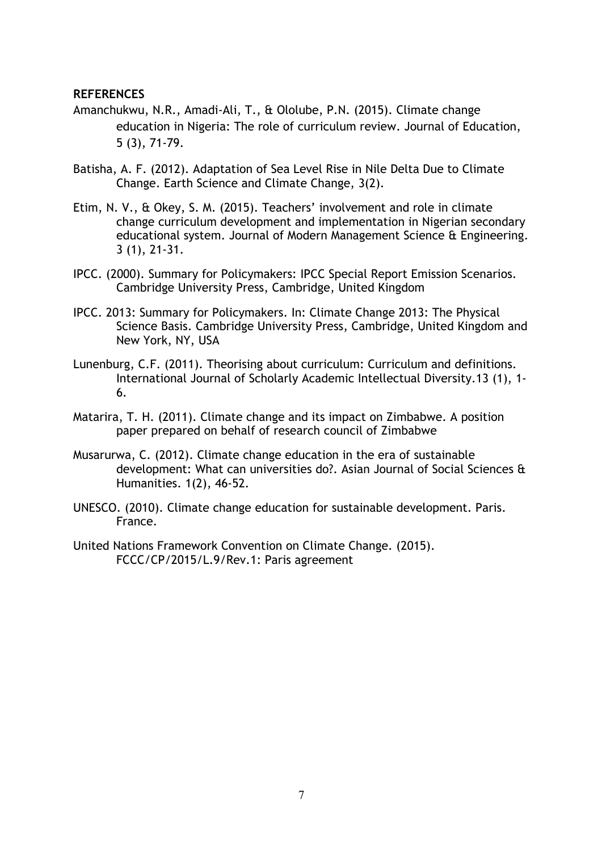## **REFERENCES**

- Amanchukwu, N.R., Amadi-Ali, T., & Ololube, P.N. (2015). Climate change education in Nigeria: The role of curriculum review. Journal of Education, 5 (3), 71-79.
- Batisha, A. F. (2012). Adaptation of Sea Level Rise in Nile Delta Due to Climate Change. Earth Science and Climate Change, 3(2).
- Etim, N. V., & Okey, S. M. (2015). Teachers' involvement and role in climate change curriculum development and implementation in Nigerian secondary educational system. Journal of Modern Management Science & Engineering. 3 (1), 21-31.
- IPCC. (2000). Summary for Policymakers: IPCC Special Report Emission Scenarios. Cambridge University Press, Cambridge, United Kingdom
- IPCC. 2013: Summary for Policymakers. In: Climate Change 2013: The Physical Science Basis. Cambridge University Press, Cambridge, United Kingdom and New York, NY, USA
- Lunenburg, C.F. (2011). Theorising about curriculum: Curriculum and definitions. International Journal of Scholarly Academic Intellectual Diversity.13 (1), 1- 6.
- Matarira, T. H. (2011). Climate change and its impact on Zimbabwe. A position paper prepared on behalf of research council of Zimbabwe
- Musarurwa, C. (2012). Climate change education in the era of sustainable development: What can universities do?. Asian Journal of Social Sciences & Humanities. 1(2), 46-52.
- UNESCO. (2010). Climate change education for sustainable development. Paris. France.
- United Nations Framework Convention on Climate Change. (2015). FCCC/CP/2015/L.9/Rev.1: Paris agreement